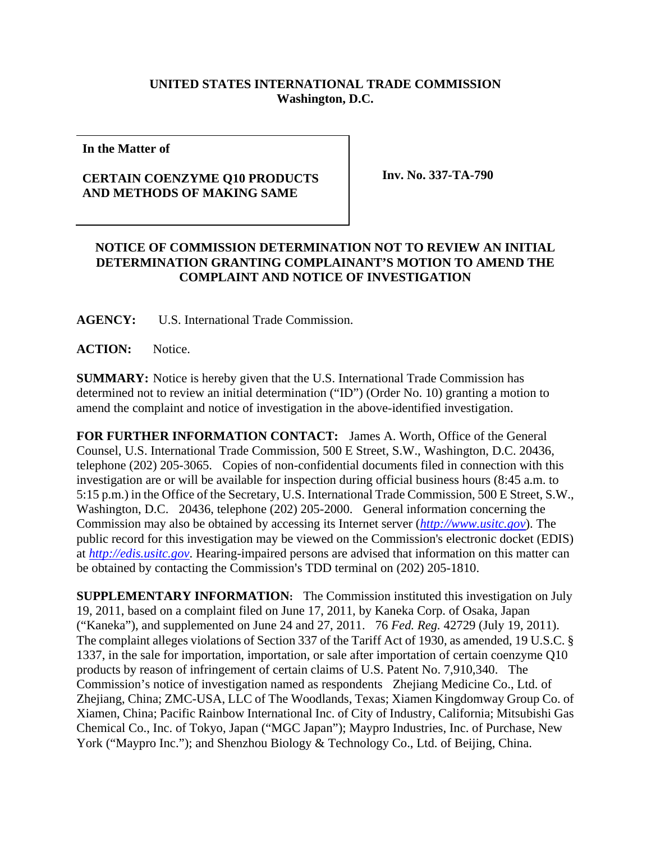## **UNITED STATES INTERNATIONAL TRADE COMMISSION Washington, D.C.**

**In the Matter of** 

## **CERTAIN COENZYME Q10 PRODUCTS AND METHODS OF MAKING SAME**

 **Inv. No. 337-TA-790** 

## **NOTICE OF COMMISSION DETERMINATION NOT TO REVIEW AN INITIAL DETERMINATION GRANTING COMPLAINANT'S MOTION TO AMEND THE COMPLAINT AND NOTICE OF INVESTIGATION**

**AGENCY:** U.S. International Trade Commission.

ACTION: Notice.

**SUMMARY:** Notice is hereby given that the U.S. International Trade Commission has determined not to review an initial determination ("ID") (Order No. 10) granting a motion to amend the complaint and notice of investigation in the above-identified investigation.

**FOR FURTHER INFORMATION CONTACT:** James A. Worth, Office of the General Counsel, U.S. International Trade Commission, 500 E Street, S.W., Washington, D.C. 20436, telephone (202) 205-3065. Copies of non-confidential documents filed in connection with this investigation are or will be available for inspection during official business hours (8:45 a.m. to 5:15 p.m.) in the Office of the Secretary, U.S. International Trade Commission, 500 E Street, S.W., Washington, D.C. 20436, telephone (202) 205-2000. General information concerning the Commission may also be obtained by accessing its Internet server (*http://www.usitc.gov*). The public record for this investigation may be viewed on the Commission's electronic docket (EDIS) at *http://edis.usitc.gov*. Hearing-impaired persons are advised that information on this matter can be obtained by contacting the Commission's TDD terminal on (202) 205-1810.

**SUPPLEMENTARY INFORMATION:** The Commission instituted this investigation on July 19, 2011, based on a complaint filed on June 17, 2011, by Kaneka Corp. of Osaka, Japan ("Kaneka"), and supplemented on June 24 and 27, 2011. 76 *Fed. Reg.* 42729 (July 19, 2011). The complaint alleges violations of Section 337 of the Tariff Act of 1930, as amended, 19 U.S.C. § 1337, in the sale for importation, importation, or sale after importation of certain coenzyme Q10 products by reason of infringement of certain claims of U.S. Patent No. 7,910,340. The Commission's notice of investigation named as respondents Zhejiang Medicine Co., Ltd. of Zhejiang, China; ZMC-USA, LLC of The Woodlands, Texas; Xiamen Kingdomway Group Co. of Xiamen, China; Pacific Rainbow International Inc. of City of Industry, California; Mitsubishi Gas Chemical Co., Inc. of Tokyo, Japan ("MGC Japan"); Maypro Industries, Inc. of Purchase, New York ("Maypro Inc."); and Shenzhou Biology & Technology Co., Ltd. of Beijing, China.